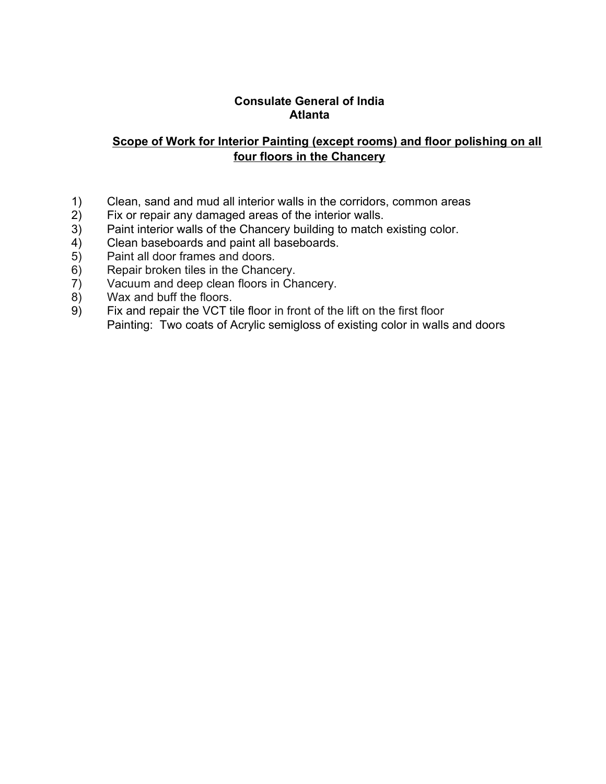#### Consulate General of India Atlanta

# Scope of Work for Interior Painting (except rooms) and floor polishing on all four floors in the Chancery

- 1) Clean, sand and mud all interior walls in the corridors, common areas<br>2) Fix or repair any damaged areas of the interior walls.
- 2) Fix or repair any damaged areas of the interior walls.<br>3) Paint interior walls of the Chancery building to match
- 3) Paint interior walls of the Chancery building to match existing color.<br>4) Clean baseboards and paint all baseboards.
- $\begin{array}{ll} 4 \hat{)} & \text{Clean baseboards and paint all baseboards.} \\ 5 & \text{Paint all door frames and doors.} \end{array}$
- 5) Paint all door frames and doors.
- 6) Repair broken tiles in the Chancery.<br>
7) Vacuum and deep clean floors in Cha
- 7) Vacuum and deep clean floors in Chancery.
- 8) Wax and buff the floors.<br>9) Fix and repair the VCT ti
- Fix and repair the VCT tile floor in front of the lift on the first floor Painting: Two coats of Acrylic semigloss of existing color in walls and doors